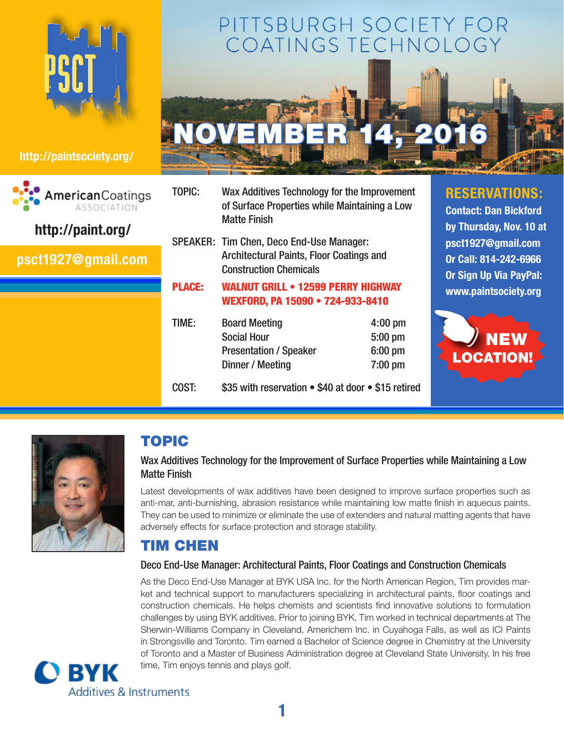

## **[http://paintsociety.org/](http://paintsociety.org)**



# PITTSBURGH SOCIETY FOR COATINGS TECHNOLO



TOPIC: Wax Additives Technology for the Improvement of Surface Properties while Maintaining a Low Matte Finish

SPEAKER: Tim Chen, Deco End-Use Manager: Architectural Paints, Floor Coatings and Construction Chemicals

#### PLACE: Walnut Grill • 12599 Perry Highway Wexford, PA 15090 • 724-933-8410

| TIME: | <b>Board Meeting</b>                                | $4:00$ pm |
|-------|-----------------------------------------------------|-----------|
|       | <b>Social Hour</b>                                  | $5:00$ pm |
|       | <b>Presentation / Speaker</b>                       | $6:00$ pm |
|       | Dinner / Meeting                                    | $7:00$ pm |
| COST: | \$35 with reservation • \$40 at door • \$15 retired |           |

## **RESERVATIONS:**

**Contact: Dan Bickford by Thursday, Nov. 10 at [psct1927@gmail.com](mailto:psct1927@gmail.com) Or Call: 814-242-6966 Or Sign Up Via PayPal: <www.paintsociety.org>**





## TOPIC

## Wax Additives Technology for the Improvement of Surface Properties while Maintaining a Low Matte Finish

Latest developments of wax additives have been designed to improve surface properties such as anti-mar, anti-burnishing, abrasion resistance while maintaining low matte finish in aqueous paints. They can be used to minimize or eliminate the use of extenders and natural matting agents that have adversely effects for surface protection and storage stability.

## Tim Chen

### Deco End-Use Manager: Architectural Paints, Floor Coatings and Construction Chemicals

**1**

As the Deco End-Use Manager at BYK USA Inc. for the North American Region, Tim provides market and technical support to manufacturers specializing in architectural paints, floor coatings and construction chemicals. He helps chemists and scientists find innovative solutions to formulation challenges by using BYK additives. Prior to joining BYK, Tim worked in technical departments at The Sherwin-Williams Company in Cleveland, Americhem Inc. in Cuyahoga Falls, as well as ICI Paints in Strongsville and Toronto. Tim earned a Bachelor of Science degree in Chemistry at the University of Toronto and a Master of Business Administration degree at Cleveland State University. In his free time, Tim enjoys tennis and plays golf.

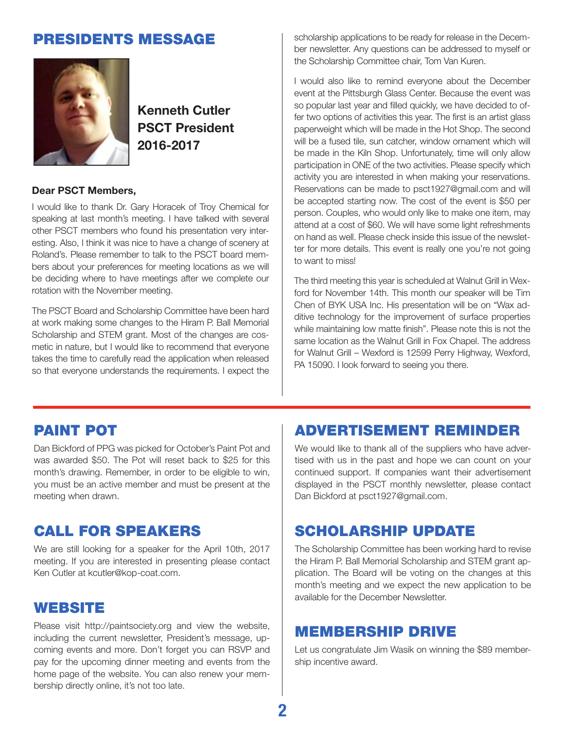

**Kenneth Cutler PSCT President 2016-2017**

#### **Dear PSCT Members,**

I would like to thank Dr. Gary Horacek of Troy Chemical for speaking at last month's meeting. I have talked with several other PSCT members who found his presentation very interesting. Also, I think it was nice to have a change of scenery at Roland's. Please remember to talk to the PSCT board members about your preferences for meeting locations as we will be deciding where to have meetings after we complete our rotation with the November meeting.

The PSCT Board and Scholarship Committee have been hard at work making some changes to the Hiram P. Ball Memorial Scholarship and STEM grant. Most of the changes are cosmetic in nature, but I would like to recommend that everyone takes the time to carefully read the application when released so that everyone understands the requirements. I expect the

**PRESIDENTS MESSAGE** Scholarship applications to be ready for release in the December newsletter. Any questions can be addressed to myself or the Scholarship Committee chair, Tom Van Kuren.

> I would also like to remind everyone about the December event at the Pittsburgh Glass Center. Because the event was so popular last year and filled quickly, we have decided to offer two options of activities this year. The first is an artist glass paperweight which will be made in the Hot Shop. The second will be a fused tile, sun catcher, window ornament which will be made in the Kiln Shop. Unfortunately, time will only allow participation in ONE of the two activities. Please specify which activity you are interested in when making your reservations. Reservations can be made to psct1927@gmail.com and will be accepted starting now. The cost of the event is \$50 per person. Couples, who would only like to make one item, may attend at a cost of \$60. We will have some light refreshments on hand as well. Please check inside this issue of the newsletter for more details. This event is really one you're not going to want to miss!

> The third meeting this year is scheduled at Walnut Grill in Wexford for November 14th. This month our speaker will be Tim Chen of BYK USA Inc. His presentation will be on "Wax additive technology for the improvement of surface properties while maintaining low matte finish". Please note this is not the same location as the Walnut Grill in Fox Chapel. The address for Walnut Grill – Wexford is 12599 Perry Highway, Wexford, PA 15090. I look forward to seeing you there.

## Paint Pot

Dan Bickford of PPG was picked for October's Paint Pot and was awarded \$50. The Pot will reset back to \$25 for this month's drawing. Remember, in order to be eligible to win, you must be an active member and must be present at the meeting when drawn.

## Call for Speakers

We are still looking for a speaker for the April 10th, 2017 meeting. If you are interested in presenting please contact Ken Cutler at kcutler@kop-coat.com.

## **WEBSITE**

Please visit http://paintsociety.org and view the website, including the current newsletter, President's message, upcoming events and more. Don't forget you can RSVP and pay for the upcoming dinner meeting and events from the home page of the website. You can also renew your membership directly online, it's not too late.

## Advertisement Reminder

We would like to thank all of the suppliers who have advertised with us in the past and hope we can count on your continued support. If companies want their advertisement displayed in the PSCT monthly newsletter, please contact Dan Bickford at [psct1927@gmail.com](mailto:psct1927@gamil.com).

## Scholarship Update

The Scholarship Committee has been working hard to revise the Hiram P. Ball Memorial Scholarship and STEM grant application. The Board will be voting on the changes at this month's meeting and we expect the new application to be available for the December Newsletter.

## Membership Drive

Let us congratulate Jim Wasik on winning the \$89 membership incentive award.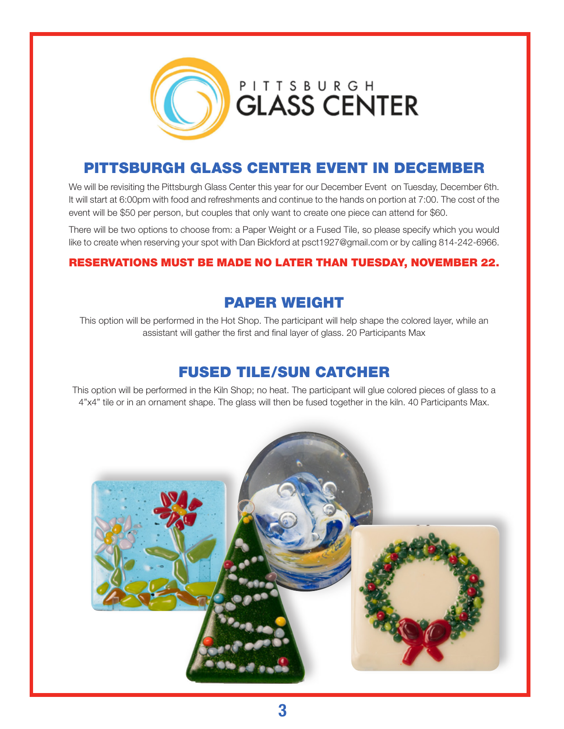

## Pittsburgh Glass Center Event IN DECEMBER

We will be revisiting the Pittsburgh Glass Center this year for our December Event on Tuesday, December 6th. It will start at 6:00pm with food and refreshments and continue to the hands on portion at 7:00. The cost of the event will be \$50 per person, but couples that only want to create one piece can attend for \$60.

There will be two options to choose from: a Paper Weight or a Fused Tile, so please specify which you would like to create when reserving your spot with Dan Bickford at psct1927@gmail.com or by calling 814-242-6966.

#### RESERVATIONS MUST BE MADE NO LATER THAN TUESDAY, NOVEMBER 22.

## Paper Weight

This option will be performed in the Hot Shop. The participant will help shape the colored layer, while an assistant will gather the first and final layer of glass. 20 Participants Max

## Fused Tile/Sun Catcher

This option will be performed in the Kiln Shop; no heat. The participant will glue colored pieces of glass to a 4"x4" tile or in an ornament shape. The glass will then be fused together in the kiln. 40 Participants Max.

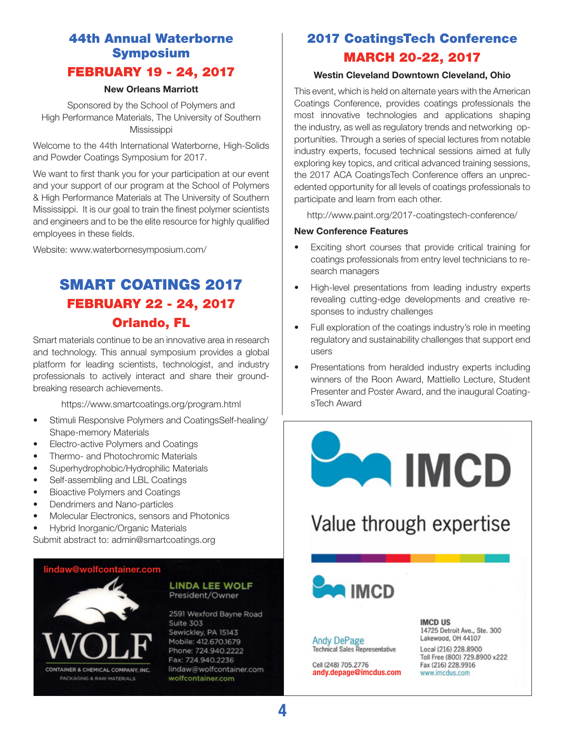## 44th Annual Waterborne Symposium February 19 - 24, 2017

#### **New Orleans Marriott**

Sponsored by the School of Polymers and High Performance Materials, The University of Southern **Mississippi** 

Welcome to the 44th International Waterborne, High-Solids and Powder Coatings Symposium for 2017.

We want to first thank you for your participation at our event and your support of our program at the School of Polymers & High Performance Materials at The University of Southern Mississippi. It is our goal to train the finest polymer scientists and engineers and to be the elite resource for highly qualified employees in these fields.

Website: [www.waterbornesymposium.com/](www.waterbornesymposium.com)

## SMART COATINGS 2017 February 22 - 24, 2017 Orlando, FL

Smart materials continue to be an innovative area in research and technology. This annual symposium provides a global platform for leading scientists, technologist, and industry professionals to actively interact and share their groundbreaking research achievements.

https://www.smartcoatings.org/program.html

- Stimuli Responsive Polymers and CoatingsSelf-healing/ Shape-memory Materials
- Electro-active Polymers and Coatings
- Thermo- and Photochromic Materials
- Superhydrophobic/Hydrophilic Materials
- Self-assembling and LBL Coatings
- Bioactive Polymers and Coatings
- Dendrimers and Nano-particles
- Molecular Electronics, sensors and Photonics
- Hybrid Inorganic/Organic Materials
- Submit abstract to: admin@smartcoatings.org

#### **[lindaw@wolfcontainer.com](mailto:lindaw@wolfcontainer.com)**



#### **LINDA LEE WOLF** President/Owner

2591 Wexford Bayne Road Suite 303 Sewickley, PA 15143 Mobile: 412.670.1679 Phone: 724.940.2222 Fax: 724.940.2236 lindaw@wolfcontainer.com wolfcontainer.com

## 2017 CoatingsTech Conference March 20-22, 2017

#### **Westin Cleveland Downtown Cleveland, Ohio**

This event, which is held on alternate years with the American Coatings Conference, provides coatings professionals the most innovative technologies and applications shaping the industry, as well as regulatory trends and networking opportunities. Through a series of special lectures from notable industry experts, focused technical sessions aimed at fully exploring key topics, and critical advanced training sessions, the 2017 ACA CoatingsTech Conference offers an unprecedented opportunity for all levels of coatings professionals to participate and learn from each other.

<http://www.paint.org/2017>-coatingstech-conference/

#### **New Conference Features**

- Exciting short courses that provide critical training for coatings professionals from entry level technicians to research managers
- High-level presentations from leading industry experts revealing cutting-edge developments and creative responses to industry challenges
- Full exploration of the coatings industry's role in meeting regulatory and sustainability challenges that support end users
- Presentations from heralded industry experts including winners of the Roon Award, Mattiello Lecture, Student Presenter and Poster Award, and the inaugural CoatingsTech Award



**4**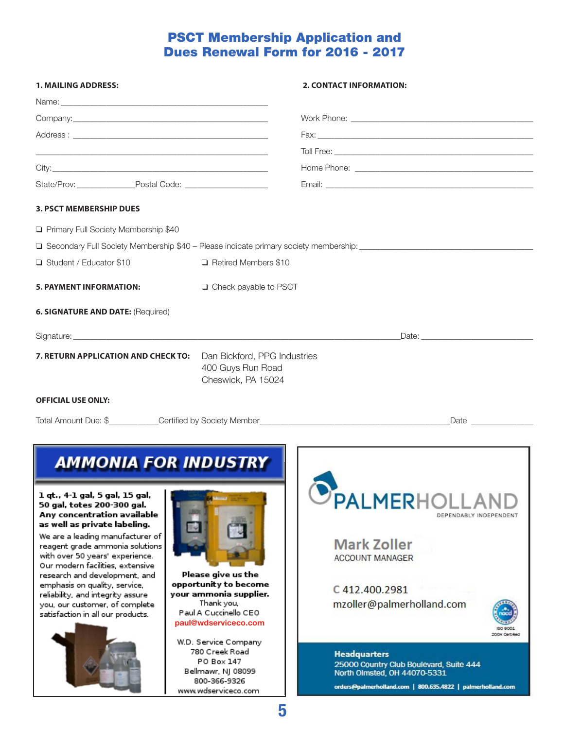## PSCT Membership Application and Dues Renewal Form for 2016 - 2017

| <b>1. MAILING ADDRESS:</b>                                                                                                                                                                                                                                                                                                                                                              |                                                                                                                                                              | 2. CONTACT INFORMATION:                                                                                                                                                                             |  |
|-----------------------------------------------------------------------------------------------------------------------------------------------------------------------------------------------------------------------------------------------------------------------------------------------------------------------------------------------------------------------------------------|--------------------------------------------------------------------------------------------------------------------------------------------------------------|-----------------------------------------------------------------------------------------------------------------------------------------------------------------------------------------------------|--|
| Name: <u>2000 - 2000 - 2000 - 2000 - 2000 - 2000 - 2000 - 2000 - 2000 - 2000 - 2000 - 2000 - 2000 - 2000 - 2000 - 2000 - 2000 - 2000 - 2000 - 2000 - 2000 - 2000 - 2000 - 2000 - 2000 - 2000 - 2000 - 2000 - 2000 - 2000 - 2000 </u>                                                                                                                                                    |                                                                                                                                                              |                                                                                                                                                                                                     |  |
|                                                                                                                                                                                                                                                                                                                                                                                         |                                                                                                                                                              |                                                                                                                                                                                                     |  |
|                                                                                                                                                                                                                                                                                                                                                                                         |                                                                                                                                                              |                                                                                                                                                                                                     |  |
|                                                                                                                                                                                                                                                                                                                                                                                         |                                                                                                                                                              |                                                                                                                                                                                                     |  |
|                                                                                                                                                                                                                                                                                                                                                                                         |                                                                                                                                                              |                                                                                                                                                                                                     |  |
|                                                                                                                                                                                                                                                                                                                                                                                         |                                                                                                                                                              |                                                                                                                                                                                                     |  |
| <b>3. PSCT MEMBERSHIP DUES</b>                                                                                                                                                                                                                                                                                                                                                          |                                                                                                                                                              |                                                                                                                                                                                                     |  |
| Primary Full Society Membership \$40                                                                                                                                                                                                                                                                                                                                                    |                                                                                                                                                              |                                                                                                                                                                                                     |  |
|                                                                                                                                                                                                                                                                                                                                                                                         |                                                                                                                                                              | □ Secondary Full Society Membership \$40 - Please indicate primary society membership: ________________________                                                                                     |  |
| Student / Educator \$10                                                                                                                                                                                                                                                                                                                                                                 | □ Retired Members \$10                                                                                                                                       |                                                                                                                                                                                                     |  |
| <b>5. PAYMENT INFORMATION:</b>                                                                                                                                                                                                                                                                                                                                                          | □ Check payable to PSCT                                                                                                                                      |                                                                                                                                                                                                     |  |
| 6. SIGNATURE AND DATE: (Required)                                                                                                                                                                                                                                                                                                                                                       |                                                                                                                                                              |                                                                                                                                                                                                     |  |
|                                                                                                                                                                                                                                                                                                                                                                                         |                                                                                                                                                              |                                                                                                                                                                                                     |  |
| 7. RETURN APPLICATION AND CHECK TO:                                                                                                                                                                                                                                                                                                                                                     | Dan Bickford, PPG Industries<br>400 Guys Run Road<br>Cheswick, PA 15024                                                                                      |                                                                                                                                                                                                     |  |
| <b>OFFICIAL USE ONLY:</b>                                                                                                                                                                                                                                                                                                                                                               |                                                                                                                                                              |                                                                                                                                                                                                     |  |
|                                                                                                                                                                                                                                                                                                                                                                                         |                                                                                                                                                              | Total Amount Due: \$___________Certified by Society Member_______________________<br>Date has a series of the series of the series of the series of the series of the series of the series of the s |  |
| <b>AMMONIA FOR INDUSTRY</b><br>1 qt., 4-1 gal, 5 gal, 15 gal,<br>50 gal, totes 200-300 gal.                                                                                                                                                                                                                                                                                             |                                                                                                                                                              | <b>PALMERHOLL</b>                                                                                                                                                                                   |  |
| Any concentration available<br>as well as private labeling.<br>We are a leading manufacturer of<br>reagent grade ammonia solutions<br>with over 50 years' experience.<br>Our modern facilities, extensive<br>research and development, and<br>emphasis on quality, service,<br>reliability, and integrity assure<br>you, our customer, of complete<br>satisfaction in all our products. | Please give us the<br>opportunity to become<br>your ammonia supplier.<br>Thank you,<br>Paul A Cuccinello CEO<br>paul@wdserviceco.com<br>W.D. Service Company | DEPENDABLY INDEPENDENT<br><b>Mark Zoller</b><br><b>ACCOUNT MANAGER</b><br>C412.400.2981<br>mzoller@palmerholland.com<br>2008 Certified                                                              |  |
|                                                                                                                                                                                                                                                                                                                                                                                         | 780 Creek Road<br>PO Box 147<br>Bellmawr, NJ 08099<br>800-366-9326<br>www.wdserviceco.com                                                                    | <b>Headquarters</b><br>25000 Country Club Boulevard, Suite 444<br>North Olmsted, OH 44070-5331<br>orders@palmerholland.com   800.635.4822   palmerholland.com                                       |  |